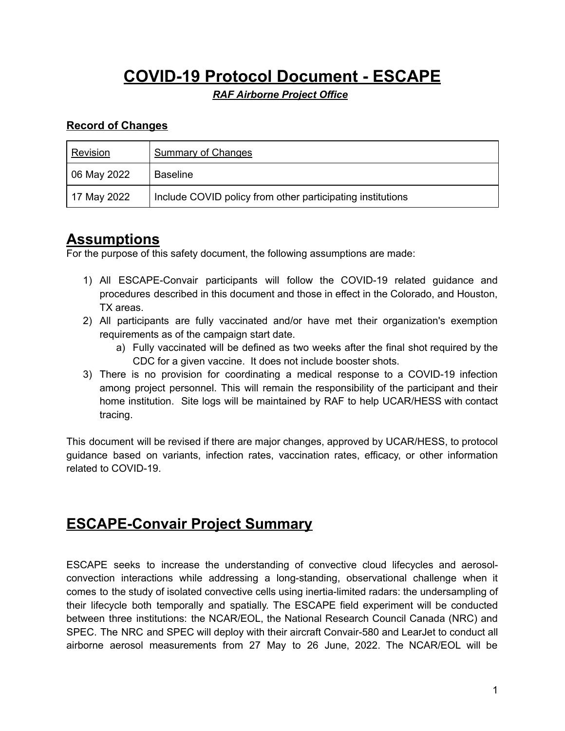# **COVID-19 Protocol Document - ESCAPE**

*RAF Airborne Project Office*

#### **Record of Changes**

| Revision    | Summary of Changes                                         |
|-------------|------------------------------------------------------------|
| 06 May 2022 | <b>Baseline</b>                                            |
| 17 May 2022 | Include COVID policy from other participating institutions |

### **Assumptions**

For the purpose of this safety document, the following assumptions are made:

- 1) All ESCAPE-Convair participants will follow the COVID-19 related guidance and procedures described in this document and those in effect in the Colorado, and Houston, TX areas.
- 2) All participants are fully vaccinated and/or have met their organization's exemption requirements as of the campaign start date.
	- a) Fully vaccinated will be defined as two weeks after the final shot required by the CDC for a given vaccine. It does not include booster shots.
- 3) There is no provision for coordinating a medical response to a COVID-19 infection among project personnel. This will remain the responsibility of the participant and their home institution. Site logs will be maintained by RAF to help UCAR/HESS with contact tracing.

This document will be revised if there are major changes, approved by UCAR/HESS, to protocol guidance based on variants, infection rates, vaccination rates, efficacy, or other information related to COVID-19.

### **ESCAPE-Convair Project Summary**

ESCAPE seeks to increase the understanding of convective cloud lifecycles and aerosolconvection interactions while addressing a long-standing, observational challenge when it comes to the study of isolated convective cells using inertia-limited radars: the undersampling of their lifecycle both temporally and spatially. The ESCAPE field experiment will be conducted between three institutions: the NCAR/EOL, the National Research Council Canada (NRC) and SPEC. The NRC and SPEC will deploy with their aircraft Convair-580 and LearJet to conduct all airborne aerosol measurements from 27 May to 26 June, 2022. The NCAR/EOL will be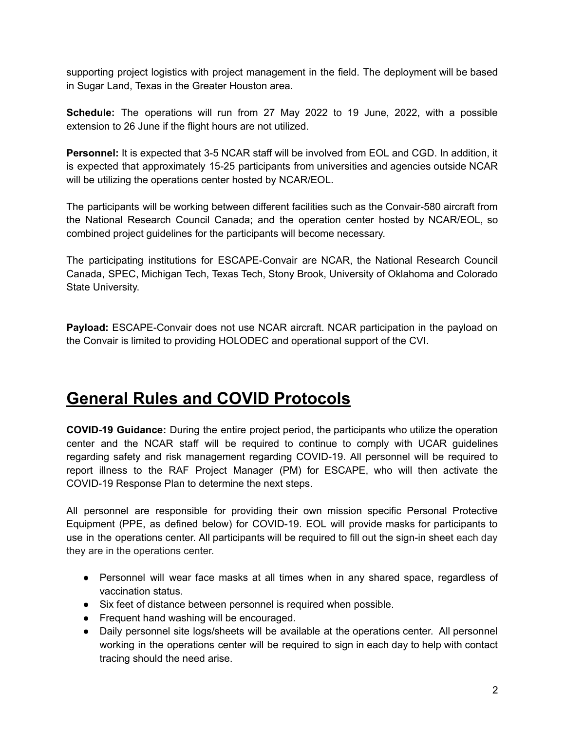supporting project logistics with project management in the field. The deployment will be based in Sugar Land, Texas in the Greater Houston area.

**Schedule:** The operations will run from 27 May 2022 to 19 June, 2022, with a possible extension to 26 June if the flight hours are not utilized.

**Personnel:** It is expected that 3-5 NCAR staff will be involved from EOL and CGD. In addition, it is expected that approximately 15-25 participants from universities and agencies outside NCAR will be utilizing the operations center hosted by NCAR/EOL.

The participants will be working between different facilities such as the Convair-580 aircraft from the National Research Council Canada; and the operation center hosted by NCAR/EOL, so combined project guidelines for the participants will become necessary.

The participating institutions for ESCAPE-Convair are NCAR, the National Research Council Canada, SPEC, Michigan Tech, Texas Tech, Stony Brook, University of Oklahoma and Colorado State University.

**Payload:** ESCAPE-Convair does not use NCAR aircraft. NCAR participation in the payload on the Convair is limited to providing HOLODEC and operational support of the CVI.

# **General Rules and COVID Protocols**

**COVID-19 Guidance:** During the entire project period, the participants who utilize the operation center and the NCAR staff will be required to continue to comply with UCAR guidelines regarding safety and risk management regarding COVID-19. All personnel will be required to report illness to the RAF Project Manager (PM) for ESCAPE, who will then activate the COVID-19 Response Plan to determine the next steps.

All personnel are responsible for providing their own mission specific Personal Protective Equipment (PPE, as defined below) for COVID-19. EOL will provide masks for participants to use in the operations center. All participants will be required to fill out the sign-in sheet each day they are in the operations center.

- Personnel will wear face masks at all times when in any shared space, regardless of vaccination status.
- Six feet of distance between personnel is required when possible.
- Frequent hand washing will be encouraged.
- Daily personnel site logs/sheets will be available at the operations center. All personnel working in the operations center will be required to sign in each day to help with contact tracing should the need arise.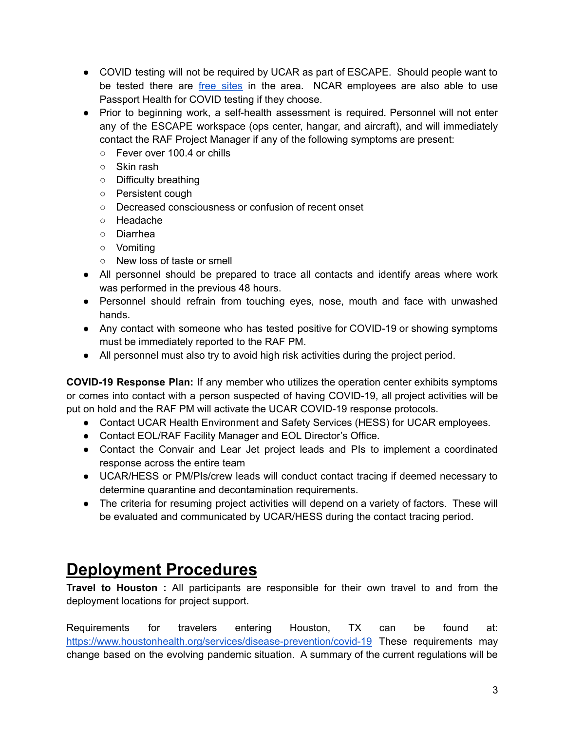- COVID testing will not be required by UCAR as part of ESCAPE. Should people want to be tested there are free [sites](https://tdem.maps.arcgis.com/apps/webappviewer/index.html?id=1e91fb79fa44417898738e5bff31a3d8) in the area. NCAR employees are also able to use Passport Health for COVID testing if they choose.
- Prior to beginning work, a self-health assessment is required. Personnel will not enter any of the ESCAPE workspace (ops center, hangar, and aircraft), and will immediately contact the RAF Project Manager if any of the following symptoms are present:
	- Fever over 100.4 or chills
	- Skin rash
	- Difficulty breathing
	- Persistent cough
	- Decreased consciousness or confusion of recent onset
	- Headache
	- Diarrhea
	- Vomiting
	- New loss of taste or smell
- All personnel should be prepared to trace all contacts and identify areas where work was performed in the previous 48 hours.
- Personnel should refrain from touching eyes, nose, mouth and face with unwashed hands.
- Any contact with someone who has tested positive for COVID-19 or showing symptoms must be immediately reported to the RAF PM.
- All personnel must also try to avoid high risk activities during the project period.

**COVID-19 Response Plan:** If any member who utilizes the operation center exhibits symptoms or comes into contact with a person suspected of having COVID-19, all project activities will be put on hold and the RAF PM will activate the UCAR COVID-19 response protocols.

- Contact UCAR Health Environment and Safety Services (HESS) for UCAR employees.
- Contact EOL/RAF Facility Manager and EOL Director's Office.
- Contact the Convair and Lear Jet project leads and PIs to implement a coordinated response across the entire team
- UCAR/HESS or PM/PIs/crew leads will conduct contact tracing if deemed necessary to determine quarantine and decontamination requirements.
- The criteria for resuming project activities will depend on a variety of factors. These will be evaluated and communicated by UCAR/HESS during the contact tracing period.

# **Deployment Procedures**

**Travel to Houston :** All participants are responsible for their own travel to and from the deployment locations for project support.

Requirements for travelers entering Houston, TX can be found at: <https://www.houstonhealth.org/services/disease-prevention/covid-19> These requirements may change based on the evolving pandemic situation. A summary of the current regulations will be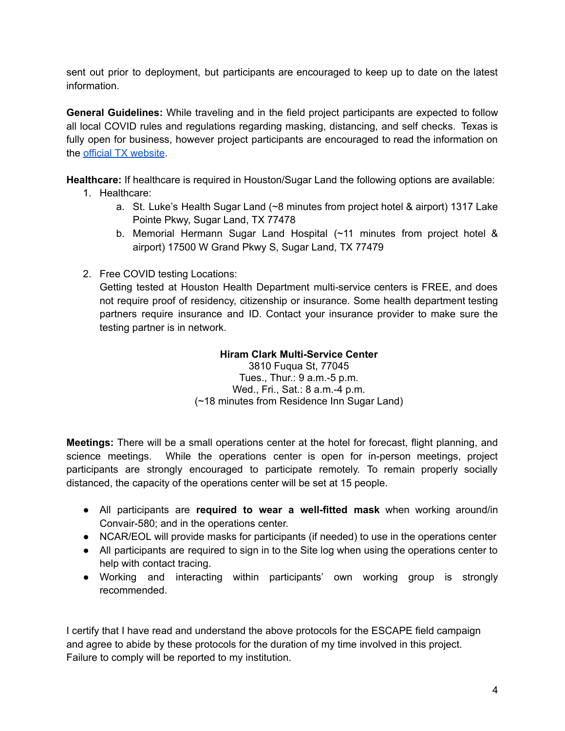sent out prior to deployment, but participants are encouraged to keep up to date on the latest information.

**General Guidelines:** While traveling and in the field project participants are expected to follow all local COVID rules and regulations regarding masking, distancing, and self checks. Texas is fully open for business, however project participants are encouraged to read the information on the official TX [website](https://www.texas.gov/covid19/).

**Healthcare:** If healthcare is required in Houston/Sugar Land the following options are available:

- 1. Healthcare:
	- a. St. Luke's Health Sugar Land (~8 minutes from project hotel & airport) 1317 Lake Pointe Pkwy, Sugar Land, TX 77478
	- b. Memorial Hermann Sugar Land Hospital (~11 minutes from project hotel & airport) 17500 W Grand Pkwy S, Sugar Land, TX 77479
- 2. Free COVID testing Locations:

Getting tested at Houston Health Department multi-service centers is FREE, and does not require proof of residency, citizenship or insurance. Some health department testing partners require insurance and ID. Contact your insurance provider to make sure the testing partner is in network.

#### **Hiram Clark Multi-Service Center**

3810 Fuqua St, 77045 Tues., Thur.: 9 a.m.-5 p.m. Wed., Fri., Sat.: 8 a.m.-4 p.m. (~18 minutes from Residence Inn Sugar Land)

**Meetings:** There will be a small operations center at the hotel for forecast, flight planning, and science meetings. While the operations center is open for in-person meetings, project participants are strongly encouraged to participate remotely. To remain properly socially distanced, the capacity of the operations center will be set at 15 people.

- All participants are **required to wear a well-fitted mask** when working around/in Convair-580; and in the operations center.
- NCAR/EOL will provide masks for participants (if needed) to use in the operations center
- All participants are required to sign in to the Site log when using the operations center to help with contact tracing.
- Working and interacting within participants' own working group is strongly recommended.

I certify that I have read and understand the above protocols for the ESCAPE field campaign and agree to abide by these protocols for the duration of my time involved in this project. Failure to comply will be reported to my institution.